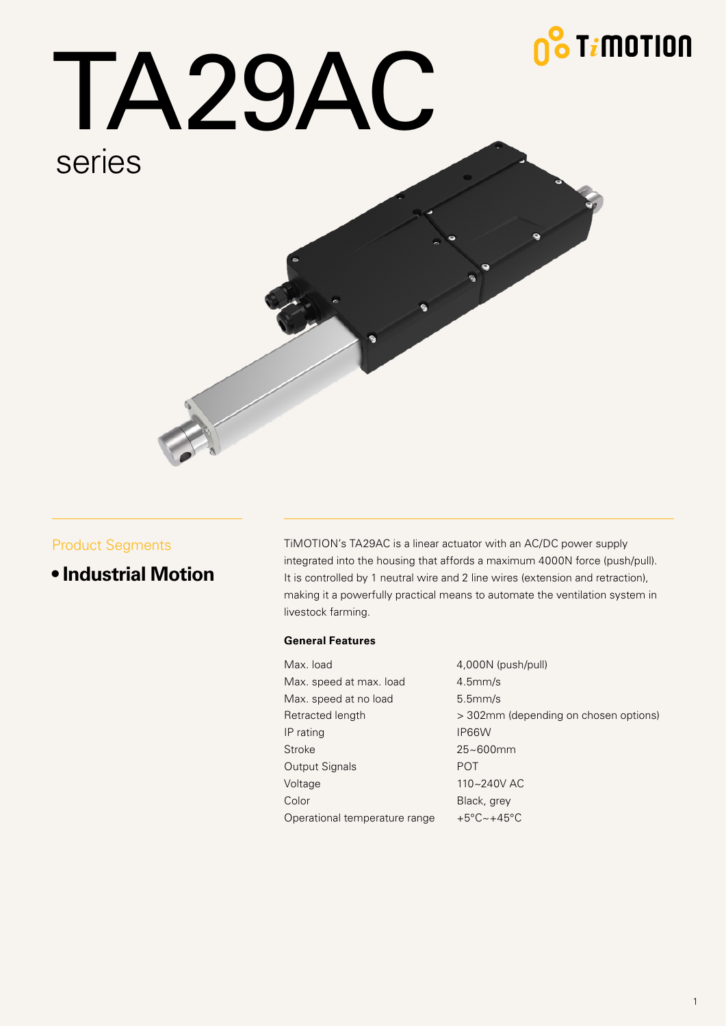## <mark>& T*i*motion</mark>



#### Product Segments

**• Industrial Motion**

TiMOTION's TA29AC is a linear actuator with an AC/DC power supply integrated into the housing that affords a maximum 4000N force (push/pull). It is controlled by 1 neutral wire and 2 line wires (extension and retraction), making it a powerfully practical means to automate the ventilation system in livestock farming.

#### **General Features**

| Max. load                     | 4,000N (push/pull)                     |
|-------------------------------|----------------------------------------|
| Max. speed at max. load       | $4.5$ mm/s                             |
| Max. speed at no load         | $5.5$ mm/s                             |
| Retracted length              | > 302mm (depending on chosen options)  |
| IP rating                     | IP66W                                  |
| Stroke                        | $25 - 600$ mm                          |
| Output Signals                | <b>POT</b>                             |
| Voltage                       | 110~240V AC                            |
| Color                         | Black, grey                            |
| Operational temperature range | $+5^{\circ}$ C $\sim$ +45 $^{\circ}$ C |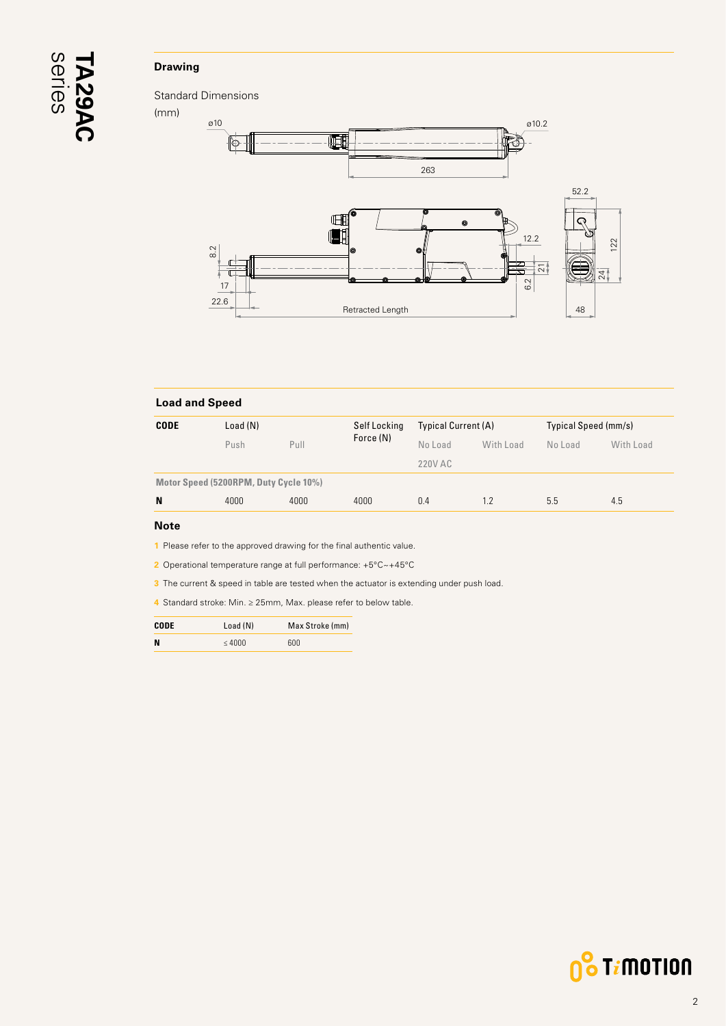# <span id="page-1-0"></span>series **TA29AC**

#### **Drawing**



| <b>Load and Speed</b> |                                       |      |              |                            |           |                      |           |
|-----------------------|---------------------------------------|------|--------------|----------------------------|-----------|----------------------|-----------|
| <b>CODE</b>           | Load (N)                              |      | Self Locking | <b>Typical Current (A)</b> |           | Typical Speed (mm/s) |           |
|                       | Push                                  | Pull | Force (N)    | No Load                    | With Load | No Load              | With Load |
|                       |                                       |      |              | 220V AC                    |           |                      |           |
|                       | Motor Speed (5200RPM, Duty Cycle 10%) |      |              |                            |           |                      |           |
| N                     | 4000                                  | 4000 | 4000         | 0.4                        | 1.2       | 5.5                  | 4.5       |
| <b>Black</b>          |                                       |      |              |                            |           |                      |           |

#### **Note**

**1** Please refer to the approved drawing for the final authentic value.

**2** Operational temperature range at full performance: +5°C~+45°C

**3** The current & speed in table are tested when the actuator is extending under push load.

**4** Standard stroke: Min. ≥ 25mm, Max. please refer to below table.

| CODE | Load(N)     | Max Stroke (mm) |
|------|-------------|-----------------|
| N    | $\leq 4000$ | 600             |

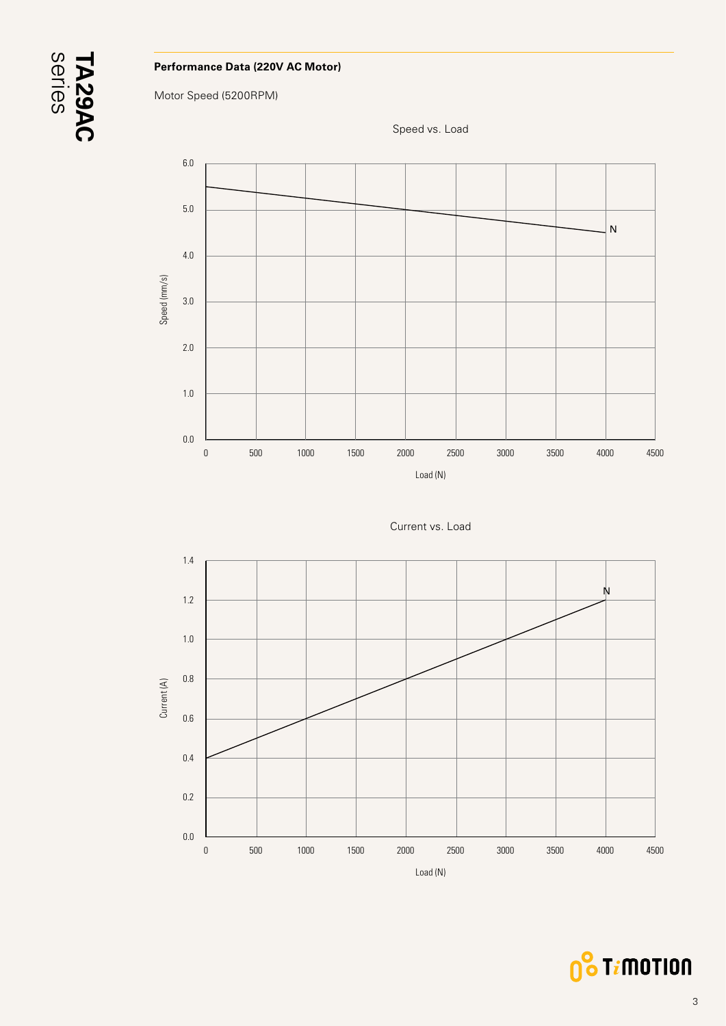

#### **Performance Data (220V AC Motor)**

Motor Speed (5200RPM)







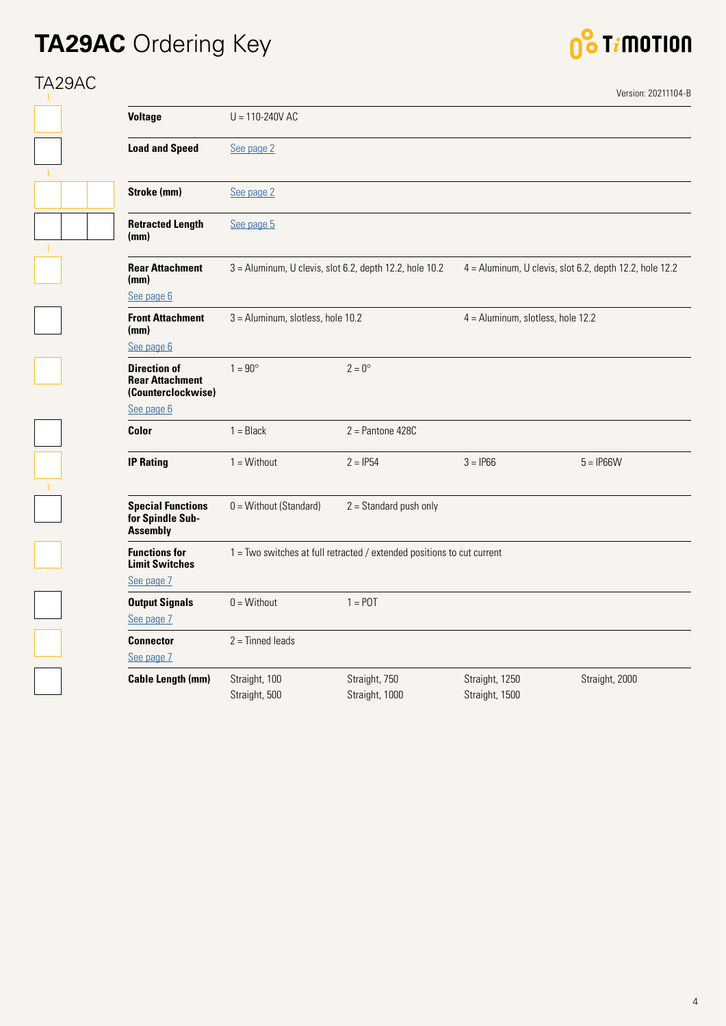## **TA29AC** Ordering Key



## TA29AC

 $\mathbb{L}$ 

 $\mathbf{T}$ 

|                                                                                   |                                   |                                                                        |                                     | Version: 20211104-B                                     |
|-----------------------------------------------------------------------------------|-----------------------------------|------------------------------------------------------------------------|-------------------------------------|---------------------------------------------------------|
| <b>Voltage</b>                                                                    | $U = 110 - 240V AC$               |                                                                        |                                     |                                                         |
| <b>Load and Speed</b>                                                             | See page 2                        |                                                                        |                                     |                                                         |
| Stroke (mm)                                                                       | See page 2                        |                                                                        |                                     |                                                         |
| <b>Retracted Length</b><br>(mm)                                                   | See page 5                        |                                                                        |                                     |                                                         |
| <b>Rear Attachment</b><br>(mm)<br>See page 6                                      |                                   | 3 = Aluminum, U clevis, slot 6.2, depth 12.2, hole 10.2                |                                     | 4 = Aluminum, U clevis, slot 6.2, depth 12.2, hole 12.2 |
| <b>Front Attachment</b><br>(mm)<br>See page 6                                     | 3 = Aluminum, slotless, hole 10.2 |                                                                        | $4 =$ Aluminum, slotless, hole 12.2 |                                                         |
| <b>Direction of</b><br><b>Rear Attachment</b><br>(Counterclockwise)<br>See page 6 | $1 = 90^\circ$                    | $2 = 0^{\circ}$                                                        |                                     |                                                         |
| Color                                                                             | $1 = Black$                       | $2 =$ Pantone 428C                                                     |                                     |                                                         |
| <b>IP Rating</b>                                                                  | $1 = \text{Without}$              | $2 = IP54$                                                             | $3 = IP66$                          | $5 = IP66W$                                             |
| <b>Special Functions</b><br>for Spindle Sub-<br><b>Assembly</b>                   | 0 = Without (Standard)            | $2 =$ Standard push only                                               |                                     |                                                         |
| <b>Functions for</b><br><b>Limit Switches</b><br>See page 7                       |                                   | 1 = Two switches at full retracted / extended positions to cut current |                                     |                                                         |
| <b>Output Signals</b><br>See page 7                                               | $0 = \text{Without}$              | $1 =$ POT                                                              |                                     |                                                         |
| <b>Connector</b><br>See page 7                                                    | $2 =$ Tinned leads                |                                                                        |                                     |                                                         |
| <b>Cable Length (mm)</b>                                                          | Straight, 100<br>Straight, 500    | Straight, 750<br>Straight, 1000                                        | Straight, 1250<br>Straight, 1500    | Straight, 2000                                          |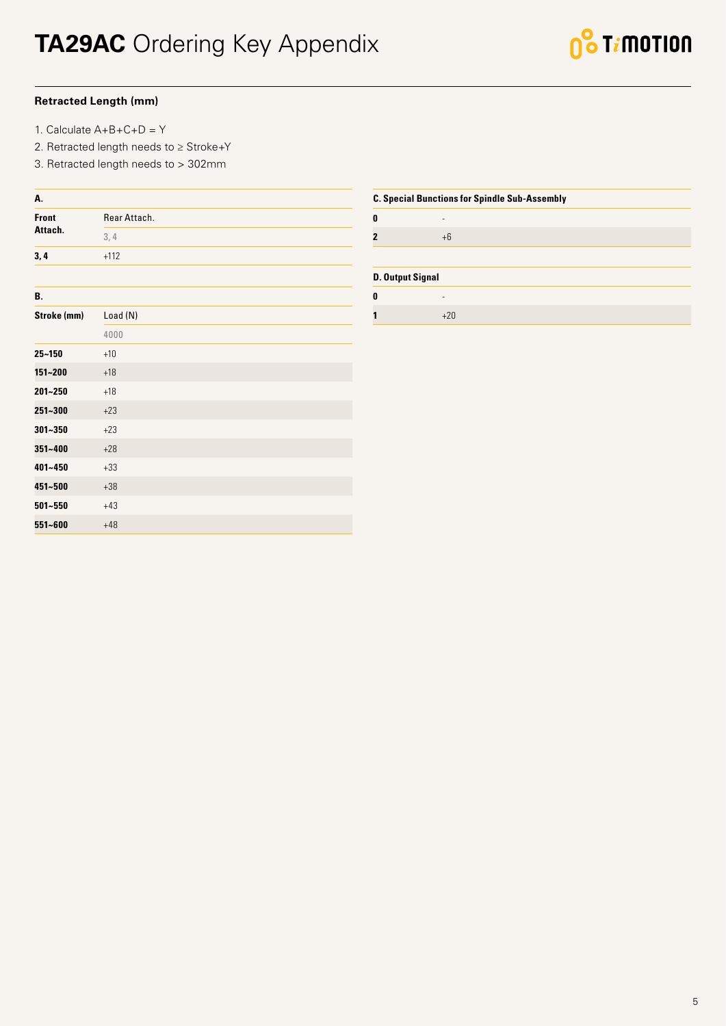#### <span id="page-4-0"></span>**Retracted Length (mm)**

- 1. Calculate A+B+C+D = Y
- 2. Retracted length needs to ≥ Stroke+Y
- 3. Retracted length needs to > 302mm

| Rear Attach. |
|--------------|
| 3,4          |
| $+112$       |
|              |
| Load (N)     |
| 4000         |
| $+10$        |
| $+18$        |
| $+18$        |
| $+23$        |
| $+23$        |
| $+28$        |
| $+33$        |
| $+38$        |
| $+43$        |
| $+48$        |
|              |

| <b>C. Special Bunctions for Spindle Sub-Assembly</b> |       |  |  |  |
|------------------------------------------------------|-------|--|--|--|
|                                                      |       |  |  |  |
| $\mathbf{0}$                                         |       |  |  |  |
| $\overline{2}$                                       | $+6$  |  |  |  |
|                                                      |       |  |  |  |
| <b>D. Output Signal</b>                              |       |  |  |  |
| 0                                                    | ۰     |  |  |  |
| 1                                                    | $+20$ |  |  |  |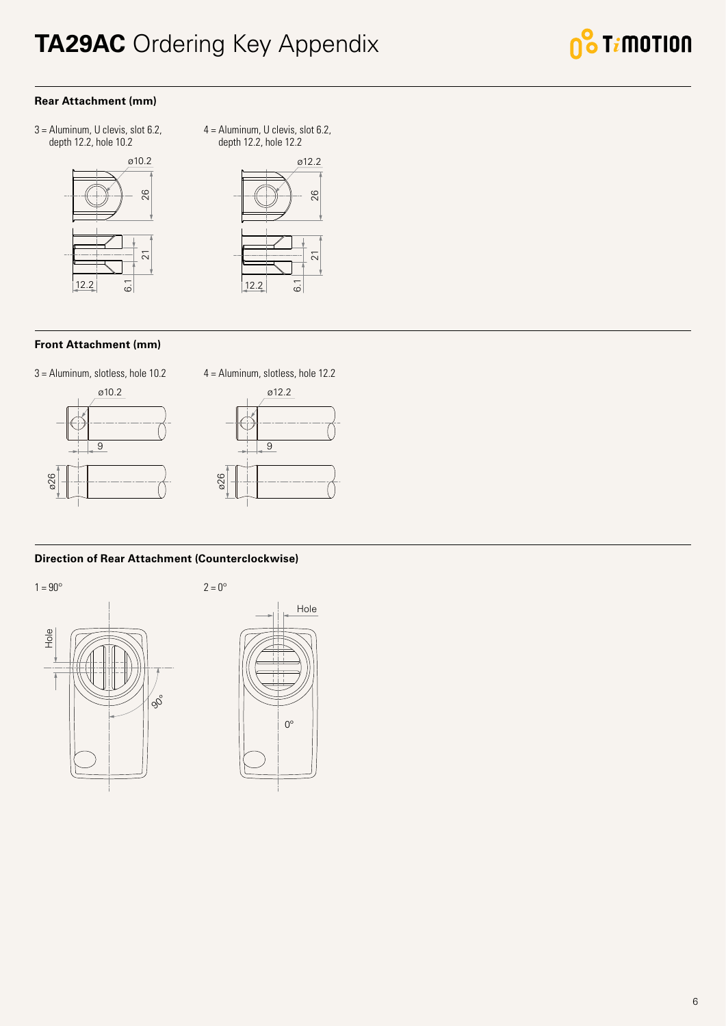### <span id="page-5-0"></span>**TA29AC** Ordering Key Appendix



#### **Rear Attachment (mm)**

3 = Aluminum, U clevis, slot 6.2, depth 12.2, hole 10.2



4 = Aluminum, U clevis, slot 6.2, depth 12.2, hole 12.2



#### **Front Attachment (mm)**







#### **Direction of Rear Attachment (Counterclockwise)**